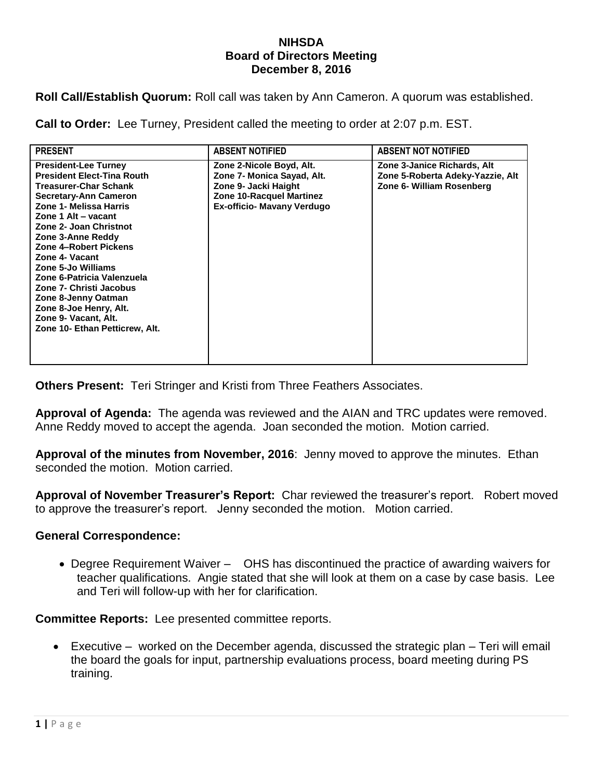## **NIHSDA Board of Directors Meeting December 8, 2016**

**Roll Call/Establish Quorum:** Roll call was taken by Ann Cameron. A quorum was established.

**Call to Order:** Lee Turney, President called the meeting to order at 2:07 p.m. EST.

| <b>PRESENT</b>                                                                                                                                                                                                                                                                                                                                                                                                                                                        | <b>ABSENT NOTIFIED</b>                                                                                                                   | <b>ABSENT NOT NOTIFIED</b>                                                                   |
|-----------------------------------------------------------------------------------------------------------------------------------------------------------------------------------------------------------------------------------------------------------------------------------------------------------------------------------------------------------------------------------------------------------------------------------------------------------------------|------------------------------------------------------------------------------------------------------------------------------------------|----------------------------------------------------------------------------------------------|
| <b>President-Lee Turney</b><br><b>President Elect-Tina Routh</b><br><b>Treasurer-Char Schank</b><br><b>Secretary-Ann Cameron</b><br>Zone 1- Melissa Harris<br>Zone 1 Alt - vacant<br>Zone 2- Joan Christnot<br>Zone 3-Anne Reddy<br>Zone 4-Robert Pickens<br>Zone 4- Vacant<br>Zone 5-Jo Williams<br>Zone 6-Patricia Valenzuela<br>Zone 7- Christi Jacobus<br>Zone 8-Jenny Oatman<br>Zone 8-Joe Henry, Alt.<br>Zone 9- Vacant, Alt.<br>Zone 10- Ethan Petticrew, Alt. | Zone 2-Nicole Boyd, Alt.<br>Zone 7- Monica Sayad, Alt.<br>Zone 9- Jacki Haight<br>Zone 10-Racquel Martinez<br>Ex-officio- Mavany Verdugo | Zone 3-Janice Richards, Alt<br>Zone 5-Roberta Adeky-Yazzie, Alt<br>Zone 6- William Rosenberg |

**Others Present:** Teri Stringer and Kristi from Three Feathers Associates.

**Approval of Agenda:** The agenda was reviewed and the AIAN and TRC updates were removed. Anne Reddy moved to accept the agenda. Joan seconded the motion. Motion carried.

**Approval of the minutes from November, 2016**: Jenny moved to approve the minutes. Ethan seconded the motion. Motion carried.

**Approval of November Treasurer's Report:** Char reviewed the treasurer's report. Robert moved to approve the treasurer's report. Jenny seconded the motion. Motion carried.

## **General Correspondence:**

• Degree Requirement Waiver – OHS has discontinued the practice of awarding waivers for teacher qualifications. Angie stated that she will look at them on a case by case basis. Lee and Teri will follow-up with her for clarification.

**Committee Reports:** Lee presented committee reports.

 Executive – worked on the December agenda, discussed the strategic plan – Teri will email the board the goals for input, partnership evaluations process, board meeting during PS training.